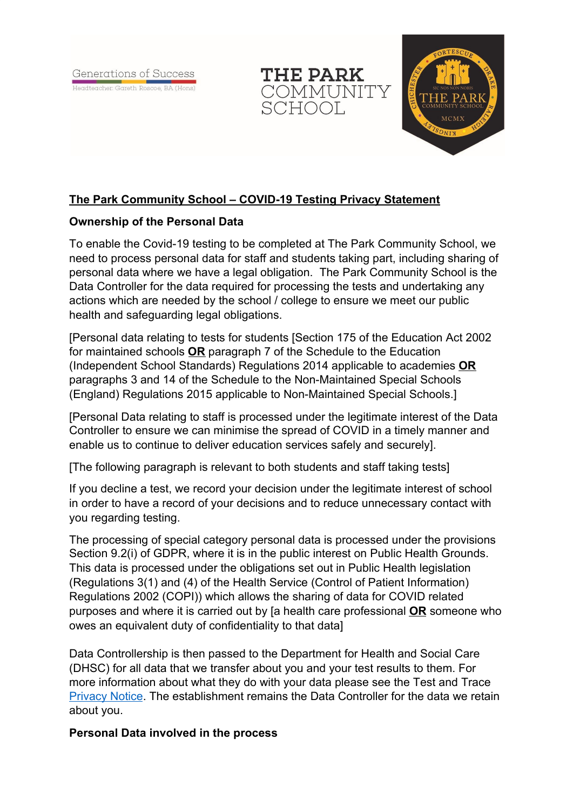Generations of Success

Headteacher: Gareth Roscoe, BA (Hons)





# **The Park Community School – COVID-19 Testing Privacy Statement**

## **Ownership of the Personal Data**

To enable the Covid-19 testing to be completed at The Park Community School, we need to process personal data for staff and students taking part, including sharing of personal data where we have a legal obligation. The Park Community School is the Data Controller for the data required for processing the tests and undertaking any actions which are needed by the school / college to ensure we meet our public health and safeguarding legal obligations.

[Personal data relating to tests for students [Section 175 of the Education Act 2002 for maintained schools **OR** paragraph 7 of the Schedule to the Education (Independent School Standards) Regulations 2014 applicable to academies **OR** paragraphs 3 and 14 of the Schedule to the Non-Maintained Special Schools (England) Regulations 2015 applicable to Non-Maintained Special Schools.]

[Personal Data relating to staff is processed under the legitimate interest of the Data Controller to ensure we can minimise the spread of COVID in a timely manner and enable us to continue to deliver education services safely and securely].

[The following paragraph is relevant to both students and staff taking tests]

If you decline a test, we record your decision under the legitimate interest of school in order to have a record of your decisions and to reduce unnecessary contact with you regarding testing.

The processing of special category personal data is processed under the provisions Section 9.2(i) of GDPR, where it is in the public interest on Public Health Grounds. This data is processed under the obligations set out in Public Health legislation (Regulations 3(1) and (4) of the Health Service (Control of Patient Information) Regulations 2002 (COPI)) which allows the sharing of data for COVID related purposes and where it is carried out by [a health care professional **OR** someone who owes an equivalent duty of confidentiality to that data]

Data Controllership is then passed to the Department for Health and Social Care (DHSC) for all data that we transfer about you and your test results to them. For more information about what they do with your data please see the Test and Trace **[Privacy Notice.](https://contact-tracing.phe.gov.uk/help/privacy-notice)** The establishment remains the Data Controller for the data we retain about you.

### **Personal Data involved in the process**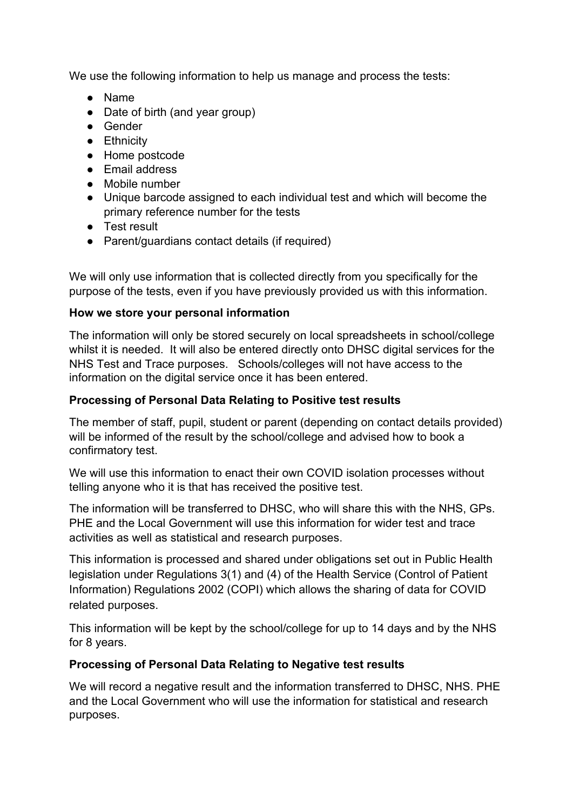We use the following information to help us manage and process the tests:

- Name
- Date of birth (and year group)
- Gender
- Ethnicity
- Home postcode
- Email address
- Mobile number
- Unique barcode assigned to each individual test and which will become the primary reference number for the tests
- Test result
- Parent/guardians contact details (if required)

We will only use information that is collected directly from you specifically for the purpose of the tests, even if you have previously provided us with this information.

### **How we store your personal information**

The information will only be stored securely on local spreadsheets in school/college whilst it is needed. It will also be entered directly onto DHSC digital services for the NHS Test and Trace purposes. Schools/colleges will not have access to the information on the digital service once it has been entered.

### **Processing of Personal Data Relating to Positive test results**

The member of staff, pupil, student or parent (depending on contact details provided) will be informed of the result by the school/college and advised how to book a confirmatory test.

We will use this information to enact their own COVID isolation processes without telling anyone who it is that has received the positive test.

The information will be transferred to DHSC, who will share this with the NHS, GPs. PHE and the Local Government will use this information for wider test and trace activities as well as statistical and research purposes.

This information is processed and shared under obligations set out in Public Health legislation under Regulations 3(1) and (4) of the Health Service (Control of Patient Information) Regulations 2002 (COPI) which allows the sharing of data for COVID related purposes.

This information will be kept by the school/college for up to 14 days and by the NHS for 8 years.

### **Processing of Personal Data Relating to Negative test results**

We will record a negative result and the information transferred to DHSC, NHS. PHE and the Local Government who will use the information for statistical and research purposes.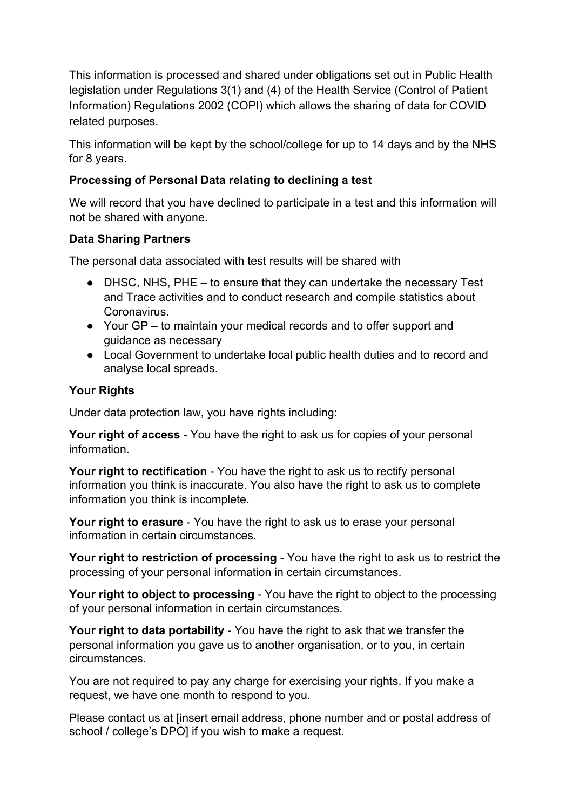This information is processed and shared under obligations set out in Public Health legislation under Regulations 3(1) and (4) of the Health Service (Control of Patient Information) Regulations 2002 (COPI) which allows the sharing of data for COVID related purposes.

This information will be kept by the school/college for up to 14 days and by the NHS for 8 years.

# **Processing of Personal Data relating to declining a test**

We will record that you have declined to participate in a test and this information will not be shared with anyone.

### **Data Sharing Partners**

The personal data associated with test results will be shared with

- DHSC, NHS, PHE to ensure that they can undertake the necessary Test and Trace activities and to conduct research and compile statistics about Coronavirus.
- Your GP to maintain your medical records and to offer support and guidance as necessary
- Local Government to undertake local public health duties and to record and analyse local spreads.

## **Your Rights**

Under data protection law, you have rights including:

**Your right of access** - You have the right to ask us for copies of your personal information.

**Your right to rectification** - You have the right to ask us to rectify personal information you think is inaccurate. You also have the right to ask us to complete information you think is incomplete.

**Your right to erasure** - You have the right to ask us to erase your personal information in certain circumstances.

**Your right to restriction of processing** - You have the right to ask us to restrict the processing of your personal information in certain circumstances.

**Your right to object to processing** - You have the right to object to the processing of your personal information in certain circumstances.

**Your right to data portability** - You have the right to ask that we transfer the personal information you gave us to another organisation, or to you, in certain circumstances.

You are not required to pay any charge for exercising your rights. If you make a request, we have one month to respond to you.

Please contact us at [insert email address, phone number and or postal address of school / college's DPO] if you wish to make a request.